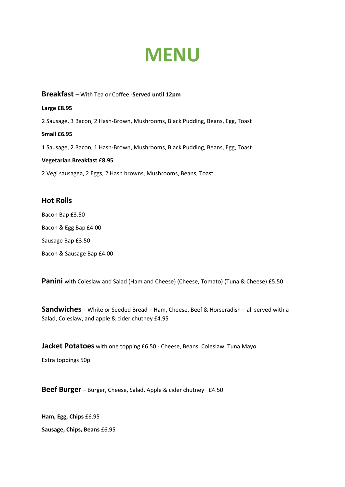# **MENU**

### **Breakfast** – With Tea or Coffee -**Served until 12pm**

#### **Large £8.95**

2 Sausage, 3 Bacon, 2 Hash-Brown, Mushrooms, Black Pudding, Beans, Egg, Toast

#### **Small £6.95**

1 Sausage, 2 Bacon, 1 Hash-Brown, Mushrooms, Black Pudding, Beans, Egg, Toast

#### **Vegetarian Breakfast £8.95**

2 Vegi sausagea, 2 Eggs, 2 Hash browns, Mushrooms, Beans, Toast

## **Hot Rolls**

Bacon Bap £3.50 Bacon & Egg Bap £4.00 Sausage Bap £3.50 Bacon & Sausage Bap £4.00

Panini with Coleslaw and Salad (Ham and Cheese) (Cheese, Tomato) (Tuna & Cheese) £5.50

**Sandwiches** – White or Seeded Bread – Ham, Cheese, Beef & Horseradish – all served with a Salad, Coleslaw, and apple & cider chutney £4.95

**Jacket Potatoes** with one topping £6.50 - Cheese, Beans, Coleslaw, Tuna Mayo

Extra toppings 50p

**Beef Burger** – Burger, Cheese, Salad, Apple & cider chutney £4.50

**Ham, Egg, Chips** £6.95

**Sausage, Chips, Beans** £6.95